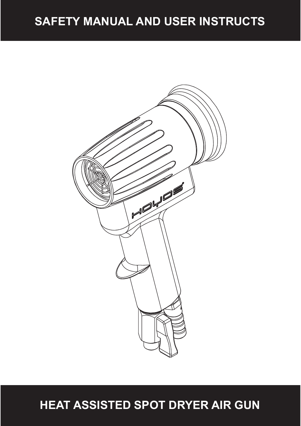## **SAFETY MANUAL AND USER INSTRUCTS**



**HEAT ASSISTED SPOT DRYER AIR GUN**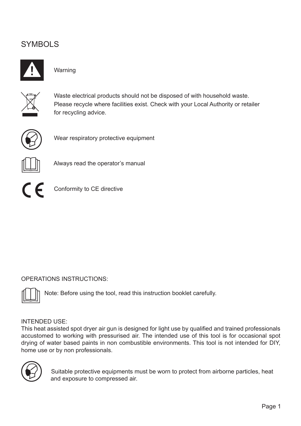### **SYMBOLS**



### Warning



 Waste electrical products should not be disposed of with household waste. Please recycle where facilities exist. Check with your Local Authority or retailer for recycling advice.



Wear respiratory protective equipment



Always read the operator's manual



Conformity to CE directive

### OPERATIONS INSTRUCTIONS:



Note: Before using the tool, read this instruction booklet carefully.

#### INTENDED USE:

This heat assisted spot dryer air gun is designed for light use by qualified and trained professionals accustomed to working with pressurised air. The intended use of this tool is for occasional spot drying of water based paints in non combustible environments. This tool is not intended for DIY, home use or by non professionals.



 Suitable protective equipments must be worn to protect from airborne particles, heat and exposure to compressed air.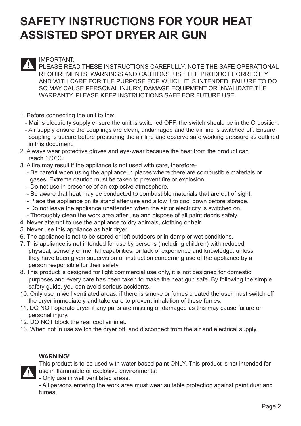## **SAFETY INSTRUCTIONS FOR YOUR HEAT ASSISTED SPOT DRYER AIR GUN**

### IMPORTANT:

PLEASE READ THESE INSTRUCTIONS CAREFULLY. NOTE THE SAFE OPERATIONAL REQUIREMENTS, WARNINGS AND CAUTIONS. USE THE PRODUCT CORRECTLY AND WITH CARE FOR THE PURPOSE FOR WHICH IT IS INTENDED. FAILURE TO DO SO MAY CAUSE PERSONAL INJURY, DAMAGE EQUIPMENT OR INVALIDATE THE WARRANTY. PLEASE KEEP INSTRUCTIONS SAFE FOR FUTURE USE.

- 1. Before connecting the unit to the:
	- Mains electricity supply ensure the unit is switched OFF, the switch should be in the O position.
	- Air supply ensure the couplings are clean, undamaged and the air line is switched off. Ensure coupling is secure before pressuring the air line and observe safe working pressure as outlined in this document.
- 2. Always wear protective gloves and eye-wear because the heat from the product can reach 120°C.
- 3. A fire may result if the appliance is not used with care, therefore-
	- Be careful when using the appliance in places where there are combustible materials or gases. Extreme caution must be taken to prevent fire or explosion.
	- Do not use in presence of an explosive atmosphere.
	- Be aware that heat may be conducted to combustible materials that are out of sight.
	- Place the appliance on its stand after use and allow it to cool down before storage.
	- Do not leave the appliance unattended when the air or electricity is switched on.
	- Thoroughly clean the work area after use and dispose of all paint debris safely.
- 4. Never attempt to use the appliance to dry animals, clothing or hair.
- 5. Never use this appliance as hair dryer.
- 6. The appliance is not to be stored or left outdoors or in damp or wet conditions.
- 7. This appliance is not intended for use by persons (including children) with reduced physical, sensory or mental capabilities, or lack of experience and knowledge, unless they have been given supervision or instruction concerning use of the appliance by a person responsible for their safety.
- 8. This product is designed for light commercial use only, it is not designed for domestic purposes and every care has been taken to make the heat gun safe. By following the simple safety guide, you can avoid serious accidents.
- 10. Only use in well ventilated areas, if there is smoke or fumes created the user must switch off the dryer immediately and take care to prevent inhalation of these fumes.
- 11. DO NOT operate dryer if any parts are missing or damaged as this may cause failure or personal injury.
- 12. DO NOT block the rear cool air inlet.
- 13. When not in use switch the dryer off, and disconnect from the air and electrical supply.

#### **WARNING!**

- This product is to be used with water based paint ONLY. This product is not intended for use in flammable or explosive environments:
- Only use in well ventilated areas.

- All persons entering the work area must wear suitable protection against paint dust and fumes.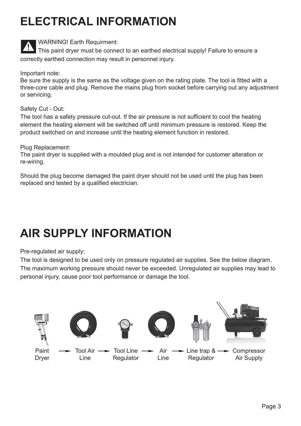# **ELECTRICAL INFORMATION**



WARNING! Earth Requirment:

 This paint dryer must be connect to an earthed electrical supply! Failure to ensure a correctly earthed connection may result in personnel injury.

Important note:

Be sure the supply is the same as the voltage given on the rating plate. The tool is fitted with a three-core cable and plug. Remove the mains plug from socket before carrying out any adjustment or servicing.

Safety Cut - Out:

The tool has a safety pressure cut-out. If the air pressure is not sufficient to cool the heating element the heating element will be switched off until minimum pressure is restored. Keep the product switched on and increase until the heating element function in restored.

Plug Replacement:

The paint dryer is supplied with a moulded plug and is not intended for customer alteration or re-wiring.

Should the plug become damaged the paint dryer should not be used until the plug has been replaced and tested by a qualified electrician.

# **AIR SUPPLY INFORMATION**

Pre-regulated air supply:

The tool is designed to be used only on pressure regulated air supplies. See the below diagram. The maximum working pressure should never be exceeded. Unregulated air supplies may lead to personal injury, cause poor tool performance or damage the tool.

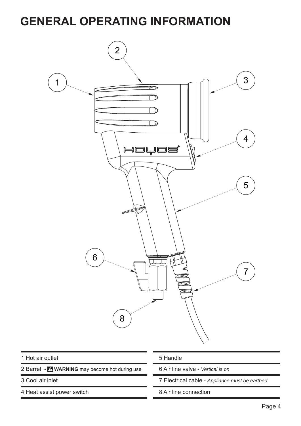## **GENERAL OPERATING INFORMATION**

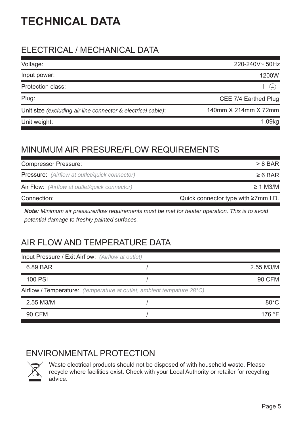# **TECHNICAL DATA**

## ELECTRICAL / MECHANICAL DATA

| Voltage:                                                     | 220-240V~50Hz        |
|--------------------------------------------------------------|----------------------|
| Input power:                                                 | 1200W                |
| <b>Protection class:</b>                                     | ਢ                    |
| Plug:                                                        | CEE 7/4 Earthed Plug |
| Unit size (excluding air line connector & electrical cable): | 140mm X 214mm X 72mm |
| Unit weight:                                                 |                      |

## MINUMUM AIR PRESURE/FLOW REQUIREMENTS

| <b>Compressor Pressure:</b>                          | $> 8$ BAR                                  |  |
|------------------------------------------------------|--------------------------------------------|--|
| <b>Pressure:</b> (Airflow at outlet/quick connector) | $\geq 6$ BAR                               |  |
| Air Flow: (Airflow at outlet/quick connector)        | $\geq$ 1 M3/M                              |  |
| Connection:                                          | Quick connector type with $\geq 7$ mm I.D. |  |

*Note: Minimum air pressure/flow requirements must be met for heater operation. This is to avoid potential damage to freshly painted surfaces.*

## AIR FLOW AND TEMPERATURE DATA

|                | <b>Input Pressure / Exit Airflow:</b> (Airflow at outlet)              |                 |
|----------------|------------------------------------------------------------------------|-----------------|
| 6.89 BAR       |                                                                        | 2.55 M3/M       |
| <b>100 PSI</b> |                                                                        | <b>90 CFM</b>   |
|                | Airflow / Temperature: (temperature at outlet, ambient tempature 28°C) |                 |
| 2.55 M3/M      |                                                                        | $80^{\circ}$ C  |
| <b>90 CFM</b>  |                                                                        | 176 $\degree$ F |
|                |                                                                        |                 |

## ENVIRONMENTAL PROTECTION



 Waste electrical products should not be disposed of with household waste. Please recycle where facilities exist. Check with your Local Authority or retailer for recycling advice.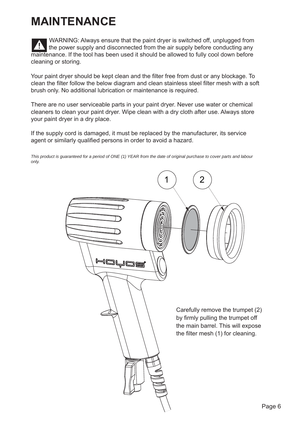# **MAINTENANCE**

 WARNING: Always ensure that the paint dryer is switched off, unplugged from the power supply and disconnected from the air supply before conducting any maintenance. If the tool has been used it should be allowed to fully cool down before cleaning or storing.

Your paint dryer should be kept clean and the filter free from dust or any blockage. To clean the filter follow the below diagram and clean stainless steel filter mesh with a soft brush only. No additional lubrication or maintenance is required.

There are no user serviceable parts in your paint dryer. Never use water or chemical cleaners to clean your paint dryer. Wipe clean with a dry cloth after use. Always store your paint dryer in a dry place.

If the supply cord is damaged, it must be replaced by the manufacturer, its service agent or similarly qualified persons in order to avoid a hazard.

*This product is guaranteed for a period of ONE (1) YEAR from the date of original purchase to cover parts and labour only.*

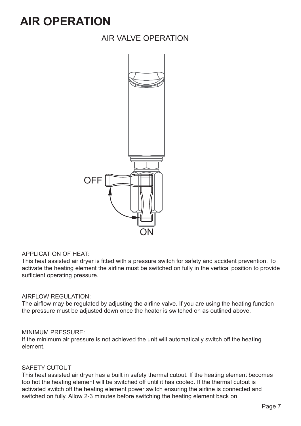## **AIR OPERATION**

### AIR VALVE OPERATION



#### APPLICATION OF HEAT:

This heat assisted air dryer is fitted with a pressure switch for safety and accident prevention. To activate the heating element the airline must be switched on fully in the vertical position to provide sufficient operating pressure.

#### AIRFLOW REGULATION:

The airflow may be regulated by adjusting the airline valve. If you are using the heating function the pressure must be adjusted down once the heater is switched on as outlined above.

#### MINIMUM PRESSURE:

If the minimum air pressure is not achieved the unit will automatically switch off the heating element.

#### SAFETY CUTOUT

This heat assisted air dryer has a built in safety thermal cutout. If the heating element becomes too hot the heating element will be switched off until it has cooled. If the thermal cutout is activated switch off the heating element power switch ensuring the airline is connected and switched on fully. Allow 2-3 minutes before switching the heating element back on.